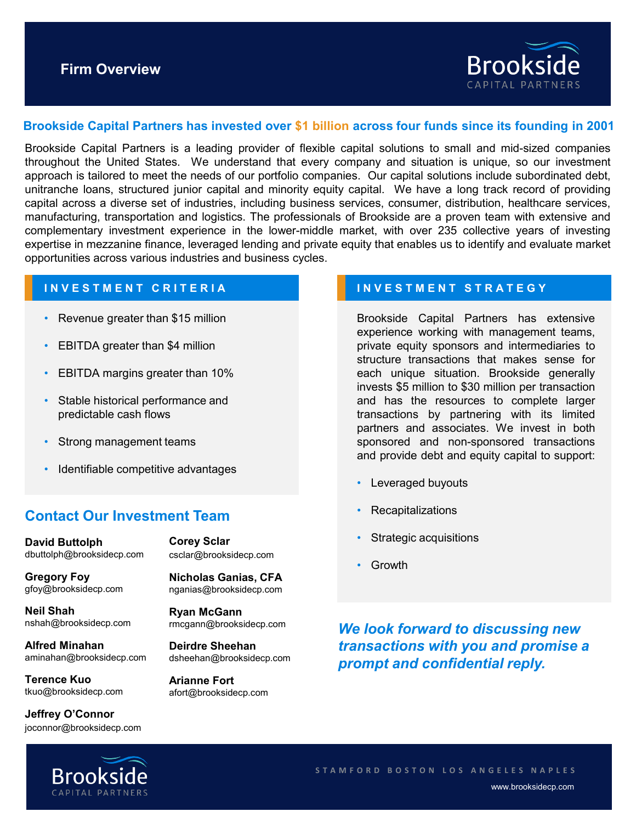

# **Brookside Capital Partners has invested over \$1 billion across four funds since its founding in 2001**

Brookside Capital Partners is a leading provider of flexible capital solutions to small and mid-sized companies throughout the United States. We understand that every company and situation is unique, so our investment approach is tailored to meet the needs of our portfolio companies. Our capital solutions include subordinated debt, unitranche loans, structured junior capital and minority equity capital. We have a long track record of providing capital across a diverse set of industries, including business services, consumer, distribution, healthcare services, manufacturing, transportation and logistics. The professionals of Brookside are a proven team with extensive and complementary investment experience in the lower-middle market, with over 235 collective years of investing expertise in mezzanine finance, leveraged lending and private equity that enables us to identify and evaluate market opportunities across various industries and business cycles.

## **INVESTMENT CRITERIA**

- Revenue greater than \$15 million
- EBITDA greater than \$4 million
- EBITDA margins greater than 10%
- Stable historical performance and predictable cash flows
- Strong management teams
- Identifiable competitive advantages

# **Contact Our Investment Team**

**David Buttolph**  dbuttolph@brooksidecp.com **Corey Sclar** 

**Gregory Foy** gfoy@brooksidecp.com

**Neil Shah**  nshah@brooksidecp.com

**Alfred Minahan**  aminahan@brooksidecp.com

**Terence Kuo** tkuo@brooksidecp.com

**Jeffrey O'Connor** joconnor@brooksidecp.com csclar@brooksidecp.com

**Nicholas Ganias, CFA** nganias@brooksidecp.com

**Ryan McGann** rmcgann@brooksidecp.com

**Deirdre Sheehan** dsheehan@brooksidecp.com

**Arianne Fort** afort@brooksidecp.com

## **INVESTMENT STRATEGY**

Brookside Capital Partners has extensive experience working with management teams, private equity sponsors and intermediaries to structure transactions that makes sense for each unique situation. Brookside generally invests \$5 million to \$30 million per transaction and has the resources to complete larger transactions by partnering with its limited partners and associates. We invest in both sponsored and non-sponsored transactions and provide debt and equity capital to support:

- Leveraged buyouts
- **Recapitalizations**
- Strategic acquisitions
- Growth

*We look forward to discussing new transactions with you and promise a prompt and confidential reply.*